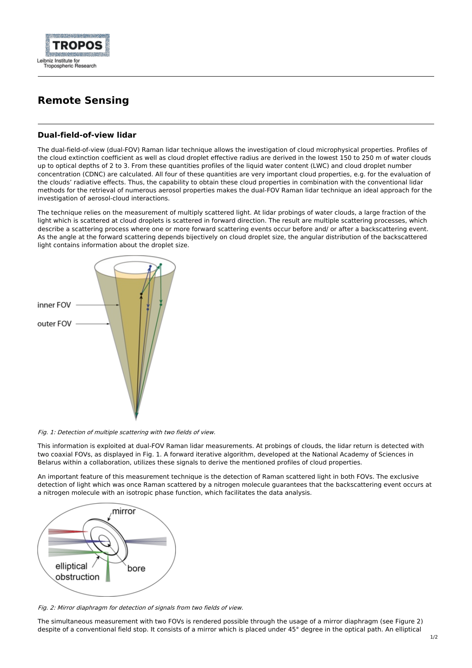

## **Remote Sensing**

## **Dual-field-of-view lidar**

The dual-field-of-view (dual-FOV) Raman lidar technique allows the investigation of cloud microphysical properties. Profiles of the cloud extinction coefficient as well as cloud droplet effective radius are derived in the lowest 150 to 250 m of water clouds up to optical depths of 2 to 3. From these quantities profiles of the liquid water content (LWC) and cloud droplet number concentration (CDNC) are calculated. All four of these quantities are very important cloud properties, e.g. for the evaluation of the clouds' radiative effects. Thus, the capability to obtain these cloud properties in combination with the conventional lidar methods for the retrieval of numerous aerosol properties makes the dual-FOV Raman lidar technique an ideal approach for the investigation of aerosol-cloud interactions.

The technique relies on the measurement of multiply scattered light. At lidar probings of water clouds, a large fraction of the light which is scattered at cloud droplets is scattered in forward direction. The result are multiple scattering processes, which describe a scattering process where one or more forward scattering events occur before and/ or after a backscattering event. As the angle at the forward scattering depends bijectively on cloud droplet size, the angular distribution of the backscattered light contains information about the droplet size.



Fig. 1: Detection of multiple scattering with two fields of view.

This information is exploited at dual-FOV Raman lidar measurements. At probings of clouds, the lidar return is detected with two coaxial FOVs, as displayed in Fig. 1. A forward iterative algorithm, developed at the National Academy of Sciences in Belarus within a collaboration, utilizes these signals to derive the mentioned profiles of cloud properties.

An important feature of this measurement technique is the detection of Raman scattered light in both FOVs. The exclusive detection of light which was once Raman scattered by a nitrogen molecule guarantees that the backscattering event occurs at a nitrogen molecule with an isotropic phase function, which facilitates the data analysis.



Fig. 2: Mirror diaphragm for detection of signals from two fields of view.

The simultaneous measurement with two FOVs is rendered possible through the usage of a mirror diaphragm (see Figure 2) despite of a conventional field stop. It consists of a mirror which is placed under 45° degree in the optical path. An elliptical